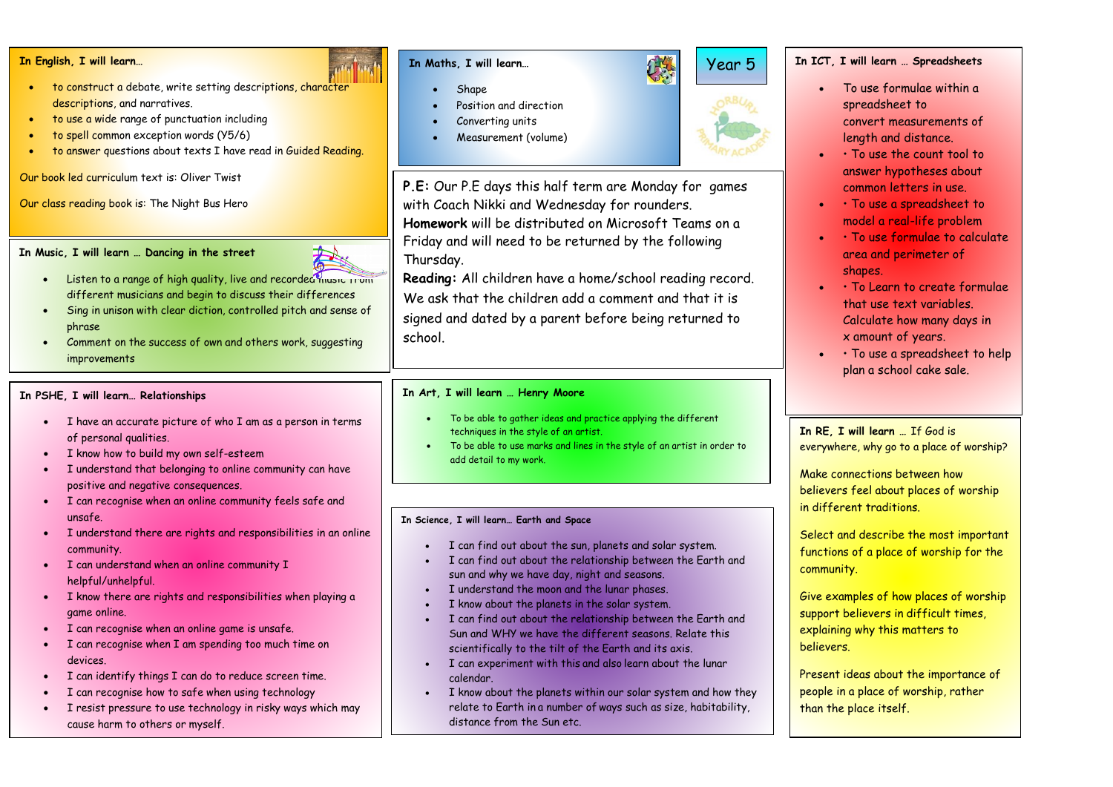#### **In English, I will learn…**

- to construct a debate, write setting descriptions, character descriptions, and narratives.
- to use a wide range of punctuation including
- to spell common exception words (Y5/6)
- to answer questions about texts I have read in Guided Reading.

# Our book led curriculum text is: Oliver Twist

Our class reading book is: The Night Bus Hero

#### **In Music, I will learn … Dancing in the street**



- Listen to a range of high quality, live and recorded music from different musicians and begin to discuss their differences
- Sing in unison with clear diction, controlled pitch and sense of phrase
- Comment on the success of own and others work, suggesting improvements

# **In PSHE, I will learn… Relationships**

- I have an accurate picture of who I am as a person in terms of personal qualities.
- I know how to build my own self-esteem
- I understand that belonging to online community can have positive and negative consequences.
- I can recognise when an online community feels safe and unsafe.
- I understand there are rights and responsibilities in an online community.
- I can understand when an online community I helpful/unhelpful.
- I know there are rights and responsibilities when playing a game online.
- I can recognise when an online game is unsafe.
- I can recognise when I am spending too much time on devices.
- I can identify things I can do to reduce screen time.
- I can recognise how to safe when using technology
- I resist pressure to use technology in risky ways which may cause harm to others or myself.

# **In Maths, I will learn…**

- Shape.
- Position and direction
- Converting units
- Measurement (volume)

**P.E:** Our P.E days this half term are Monday for games with Coach Nikki and Wednesday for rounders. **Homework** will be distributed on Microsoft Teams on a Friday and will need to be returned by the following Thursday.

**Reading:** All children have a home/school reading record. We ask that the children add a comment and that it is signed and dated by a parent before being returned to school.

# **In Art, I will learn … Henry Moore**

- To be able to gather ideas and practice applying the different techniques in the style of an artist.
- To be able to use marks and lines in the style of an artist in order to add detail to my work.

### **In Science, I will learn… Earth and Space**

- I can find out about the sun, planets and solar system.
- I can find out about the relationship between the Earth and sun and why we have day, night and seasons.
- I understand the moon and the lunar phases.
- I know about the planets in the solar system.
- I can find out about the relationship between the Earth and Sun and WHY we have the different seasons. Relate this scientifically to the tilt of the Earth and its axis.
- I can experiment with this and also learn about the lunar calendar.
- I know about the planets within our solar system and how they relate to Earth in a number of ways such as size, habitability, distance from the Sun etc.

# **In ICT, I will learn … Spreadsheets**

Year 5

- To use formulae within a spreadsheet to convert measurements of length and distance.
- • To use the count tool to answer hypotheses about common letters in use.
- • To use a spreadsheet to model a real-life problem
- • To use formulae to calculate area and perimeter of shapes.
- • To Learn to create formulae that use text variables. Calculate how many days in x amount of years.
- • To use a spreadsheet to help plan a school cake sale.

# **In RE, I will learn …** If God is everywhere, why go to a place of worship?

Make connections between how believers feel about places of worship in different traditions.

Select and describe the most important functions of a place of worship for the community.

Give examples of how places of worship support believers in difficult times, explaining why this matters to believers.

Present ideas about the importance of people in a place of worship, rather than the place itself.